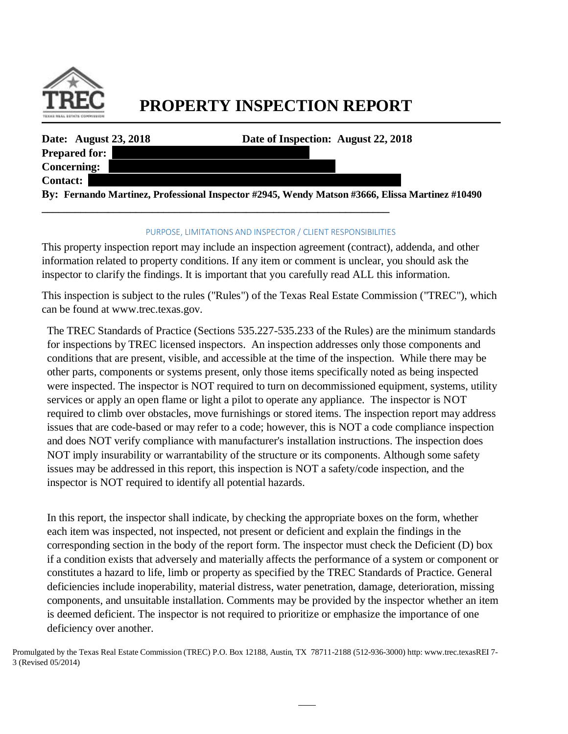

# **PROPERTY INSPECTION REPORT**

| Date: August 23, 2018 |                                                                                                 | Date of Inspection: August 22, 2018 |  |
|-----------------------|-------------------------------------------------------------------------------------------------|-------------------------------------|--|
| <b>Prepared for:</b>  |                                                                                                 |                                     |  |
| <b>Concerning:</b>    |                                                                                                 |                                     |  |
| <b>Contact:</b>       |                                                                                                 |                                     |  |
|                       | By: Fernando Martinez, Professional Inspector #2945, Wendy Matson #3666, Elissa Martinez #10490 |                                     |  |

**\_\_\_\_\_\_\_\_\_\_\_\_\_\_\_\_\_\_\_\_\_\_\_\_\_\_\_\_\_\_\_\_\_\_\_\_\_\_\_\_\_\_\_\_\_\_\_\_\_\_\_\_\_\_\_\_\_\_\_\_\_\_\_**

## PURPOSE, LIMITATIONS AND INSPECTOR / CLIENT RESPONSIBILITIES

This property inspection report may include an inspection agreement (contract), addenda, and other information related to property conditions. If any item or comment is unclear, you should ask the inspector to clarify the findings. It is important that you carefully read ALL this information.

This inspection is subject to the rules ("Rules") of the Texas Real Estate Commission ("TREC"), which can be found at www.trec.texas.gov.

The TREC Standards of Practice (Sections 535.227-535.233 of the Rules) are the minimum standards for inspections by TREC licensed inspectors. An inspection addresses only those components and conditions that are present, visible, and accessible at the time of the inspection. While there may be other parts, components or systems present, only those items specifically noted as being inspected were inspected. The inspector is NOT required to turn on decommissioned equipment, systems, utility services or apply an open flame or light a pilot to operate any appliance. The inspector is NOT required to climb over obstacles, move furnishings or stored items. The inspection report may address issues that are code-based or may refer to a code; however, this is NOT a code compliance inspection and does NOT verify compliance with manufacturer's installation instructions. The inspection does NOT imply insurability or warrantability of the structure or its components. Although some safety issues may be addressed in this report, this inspection is NOT a safety/code inspection, and the inspector is NOT required to identify all potential hazards.

In this report, the inspector shall indicate, by checking the appropriate boxes on the form, whether each item was inspected, not inspected, not present or deficient and explain the findings in the corresponding section in the body of the report form. The inspector must check the Deficient (D) box if a condition exists that adversely and materially affects the performance of a system or component or constitutes a hazard to life, limb or property as specified by the TREC Standards of Practice. General deficiencies include inoperability, material distress, water penetration, damage, deterioration, missing components, and unsuitable installation. Comments may be provided by the inspector whether an item is deemed deficient. The inspector is not required to prioritize or emphasize the importance of one deficiency over another.

Promulgated by the Texas Real Estate Commission (TREC) P.O. Box 12188, Austin, TX 78711-2188 (512-936-3000) http: www.trec.texasREI 7- 3 (Revised 05/2014)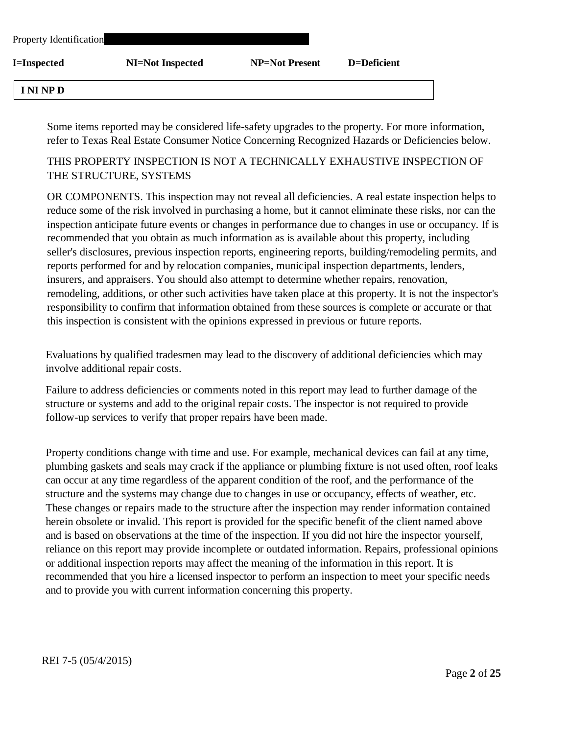| <b>Property Identification</b> |                  |                       |             |  |
|--------------------------------|------------------|-----------------------|-------------|--|
| I=Inspected                    | NI=Not Inspected | <b>NP=Not Present</b> | D=Deficient |  |
| ININPD                         |                  |                       |             |  |

Some items reported may be considered life-safety upgrades to the property. For more information, refer to Texas Real Estate Consumer Notice Concerning Recognized Hazards or Deficiencies below.

## THIS PROPERTY INSPECTION IS NOT A TECHNICALLY EXHAUSTIVE INSPECTION OF THE STRUCTURE, SYSTEMS

OR COMPONENTS. This inspection may not reveal all deficiencies. A real estate inspection helps to reduce some of the risk involved in purchasing a home, but it cannot eliminate these risks, nor can the inspection anticipate future events or changes in performance due to changes in use or occupancy. If is recommended that you obtain as much information as is available about this property, including seller's disclosures, previous inspection reports, engineering reports, building/remodeling permits, and reports performed for and by relocation companies, municipal inspection departments, lenders, insurers, and appraisers. You should also attempt to determine whether repairs, renovation, remodeling, additions, or other such activities have taken place at this property. It is not the inspector's responsibility to confirm that information obtained from these sources is complete or accurate or that this inspection is consistent with the opinions expressed in previous or future reports.

Evaluations by qualified tradesmen may lead to the discovery of additional deficiencies which may involve additional repair costs.

Failure to address deficiencies or comments noted in this report may lead to further damage of the structure or systems and add to the original repair costs. The inspector is not required to provide follow-up services to verify that proper repairs have been made.

Property conditions change with time and use. For example, mechanical devices can fail at any time, plumbing gaskets and seals may crack if the appliance or plumbing fixture is not used often, roof leaks can occur at any time regardless of the apparent condition of the roof, and the performance of the structure and the systems may change due to changes in use or occupancy, effects of weather, etc. These changes or repairs made to the structure after the inspection may render information contained herein obsolete or invalid. This report is provided for the specific benefit of the client named above and is based on observations at the time of the inspection. If you did not hire the inspector yourself, reliance on this report may provide incomplete or outdated information. Repairs, professional opinions or additional inspection reports may affect the meaning of the information in this report. It is recommended that you hire a licensed inspector to perform an inspection to meet your specific needs and to provide you with current information concerning this property.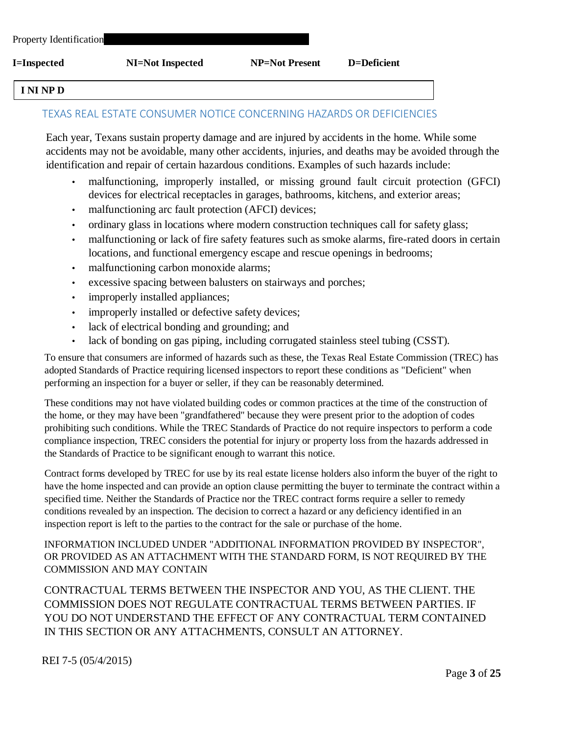| =Inspected |
|------------|

### TEXAS REAL ESTATE CONSUMER NOTICE CONCERNING HAZARDS OR DEFICIENCIES

Each year, Texans sustain property damage and are injured by accidents in the home. While some accidents may not be avoidable, many other accidents, injuries, and deaths may be avoided through the identification and repair of certain hazardous conditions. Examples of such hazards include:

- malfunctioning, improperly installed, or missing ground fault circuit protection (GFCI) devices for electrical receptacles in garages, bathrooms, kitchens, and exterior areas;
- malfunctioning arc fault protection (AFCI) devices;
- ordinary glass in locations where modern construction techniques call for safety glass;
- malfunctioning or lack of fire safety features such as smoke alarms, fire-rated doors in certain locations, and functional emergency escape and rescue openings in bedrooms;
- malfunctioning carbon monoxide alarms;
- excessive spacing between balusters on stairways and porches;
- improperly installed appliances;
- improperly installed or defective safety devices;
- lack of electrical bonding and grounding; and
- lack of bonding on gas piping, including corrugated stainless steel tubing (CSST).

To ensure that consumers are informed of hazards such as these, the Texas Real Estate Commission (TREC) has adopted Standards of Practice requiring licensed inspectors to report these conditions as "Deficient" when performing an inspection for a buyer or seller, if they can be reasonably determined.

These conditions may not have violated building codes or common practices at the time of the construction of the home, or they may have been "grandfathered" because they were present prior to the adoption of codes prohibiting such conditions. While the TREC Standards of Practice do not require inspectors to perform a code compliance inspection, TREC considers the potential for injury or property loss from the hazards addressed in the Standards of Practice to be significant enough to warrant this notice.

Contract forms developed by TREC for use by its real estate license holders also inform the buyer of the right to have the home inspected and can provide an option clause permitting the buyer to terminate the contract within a specified time. Neither the Standards of Practice nor the TREC contract forms require a seller to remedy conditions revealed by an inspection. The decision to correct a hazard or any deficiency identified in an inspection report is left to the parties to the contract for the sale or purchase of the home.

INFORMATION INCLUDED UNDER "ADDITIONAL INFORMATION PROVIDED BY INSPECTOR", OR PROVIDED AS AN ATTACHMENT WITH THE STANDARD FORM, IS NOT REQUIRED BY THE COMMISSION AND MAY CONTAIN

CONTRACTUAL TERMS BETWEEN THE INSPECTOR AND YOU, AS THE CLIENT. THE COMMISSION DOES NOT REGULATE CONTRACTUAL TERMS BETWEEN PARTIES. IF YOU DO NOT UNDERSTAND THE EFFECT OF ANY CONTRACTUAL TERM CONTAINED IN THIS SECTION OR ANY ATTACHMENTS, CONSULT AN ATTORNEY.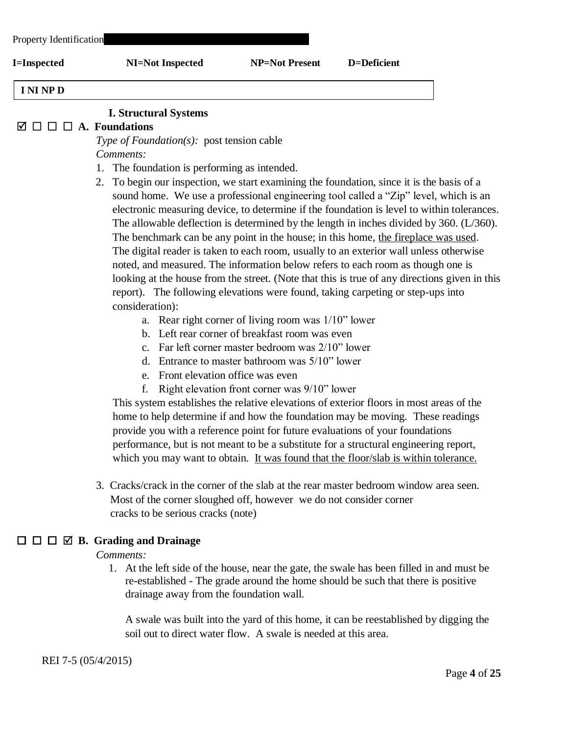| Property Identification                           |                                                                                                                                                                                                                                                                                                                                                                                                                                                                                                                                                                                                                                                                                                                                                                                                                                                                                                                                                                                                                                                                                                                                                                                                                                                                                                                                                                                                                                                                                                                                                                                             |                                                                                                                                                                                                                                                           |             |  |
|---------------------------------------------------|---------------------------------------------------------------------------------------------------------------------------------------------------------------------------------------------------------------------------------------------------------------------------------------------------------------------------------------------------------------------------------------------------------------------------------------------------------------------------------------------------------------------------------------------------------------------------------------------------------------------------------------------------------------------------------------------------------------------------------------------------------------------------------------------------------------------------------------------------------------------------------------------------------------------------------------------------------------------------------------------------------------------------------------------------------------------------------------------------------------------------------------------------------------------------------------------------------------------------------------------------------------------------------------------------------------------------------------------------------------------------------------------------------------------------------------------------------------------------------------------------------------------------------------------------------------------------------------------|-----------------------------------------------------------------------------------------------------------------------------------------------------------------------------------------------------------------------------------------------------------|-------------|--|
| <b>I=Inspected</b>                                | <b>NI=Not Inspected</b>                                                                                                                                                                                                                                                                                                                                                                                                                                                                                                                                                                                                                                                                                                                                                                                                                                                                                                                                                                                                                                                                                                                                                                                                                                                                                                                                                                                                                                                                                                                                                                     | <b>NP=Not Present</b>                                                                                                                                                                                                                                     | D=Deficient |  |
| <b>ININPD</b>                                     |                                                                                                                                                                                                                                                                                                                                                                                                                                                                                                                                                                                                                                                                                                                                                                                                                                                                                                                                                                                                                                                                                                                                                                                                                                                                                                                                                                                                                                                                                                                                                                                             |                                                                                                                                                                                                                                                           |             |  |
| $\square$ $\square$ $\square$ A. Foundations<br>M | <b>I. Structural Systems</b><br>Type of Foundation(s): post tension cable<br>Comments:<br>1. The foundation is performing as intended.<br>2. To begin our inspection, we start examining the foundation, since it is the basis of a<br>sound home. We use a professional engineering tool called a "Zip" level, which is an<br>electronic measuring device, to determine if the foundation is level to within tolerances.<br>The allowable deflection is determined by the length in inches divided by 360. (L/360).<br>The benchmark can be any point in the house; in this home, the fireplace was used.<br>The digital reader is taken to each room, usually to an exterior wall unless otherwise<br>noted, and measured. The information below refers to each room as though one is<br>looking at the house from the street. (Note that this is true of any directions given in this<br>report). The following elevations were found, taking carpeting or step-ups into<br>consideration):<br>d.<br>Front elevation office was even<br>e.<br>f.<br>This system establishes the relative elevations of exterior floors in most areas of the<br>home to help determine if and how the foundation may be moving. These readings<br>provide you with a reference point for future evaluations of your foundations<br>performance, but is not meant to be a substitute for a structural engineering report.<br>which you may want to obtain. It was found that the floor/slab is within tolerance.<br>3. Cracks/crack in the corner of the slab at the rear master bedroom window area seen. | a. Rear right corner of living room was 1/10" lower<br>b. Left rear corner of breakfast room was even<br>c. Far left corner master bedroom was 2/10" lower<br>Entrance to master bathroom was 5/10" lower<br>Right elevation front corner was 9/10" lower |             |  |
|                                                   | Most of the corner sloughed off, however we do not consider corner<br>cracks to be serious cracks (note)                                                                                                                                                                                                                                                                                                                                                                                                                                                                                                                                                                                                                                                                                                                                                                                                                                                                                                                                                                                                                                                                                                                                                                                                                                                                                                                                                                                                                                                                                    |                                                                                                                                                                                                                                                           |             |  |
|                                                   | $\Box$ $\Box$ $\Box$ $\Box$ B. Grading and Drainage<br>Comments:<br>1. At the left side of the house, near the gate, the swale has been filled in and must be<br>re-established - The grade around the home should be such that there is positive<br>drainage away from the foundation wall.<br>A swale was built into the yard of this home, it can be reestablished by digging the                                                                                                                                                                                                                                                                                                                                                                                                                                                                                                                                                                                                                                                                                                                                                                                                                                                                                                                                                                                                                                                                                                                                                                                                        |                                                                                                                                                                                                                                                           |             |  |

soil out to direct water flow. A swale is needed at this area.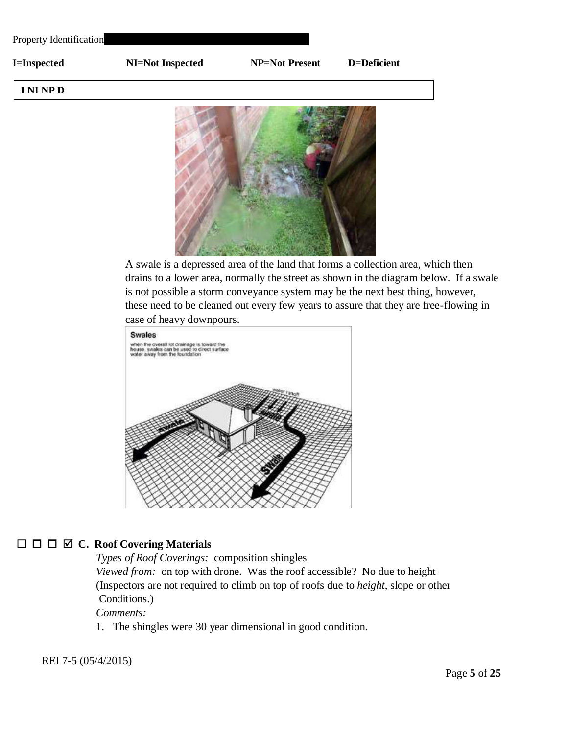| <b>Property Identification</b> |                  |                |             |
|--------------------------------|------------------|----------------|-------------|
| <b>I=Inspected</b>             | NI=Not Inspected | NP=Not Present | D=Deficient |



A swale is a depressed area of the land that forms a collection area, which then drains to a lower area, normally the street as shown in the diagram below. If a swale is not possible a storm conveyance system may be the next best thing, however, these need to be cleaned out every few years to assure that they are free-flowing in case of heavy downpours.



#### **C. Roof Covering Materials**

*Types of Roof Coverings:* composition shingles

*Viewed from:* on top with drone. Was the roof accessible? No due to height (Inspectors are not required to climb on top of roofs due to *height*, slope or other Conditions.)

#### *Comments:*

1. The shingles were 30 year dimensional in good condition.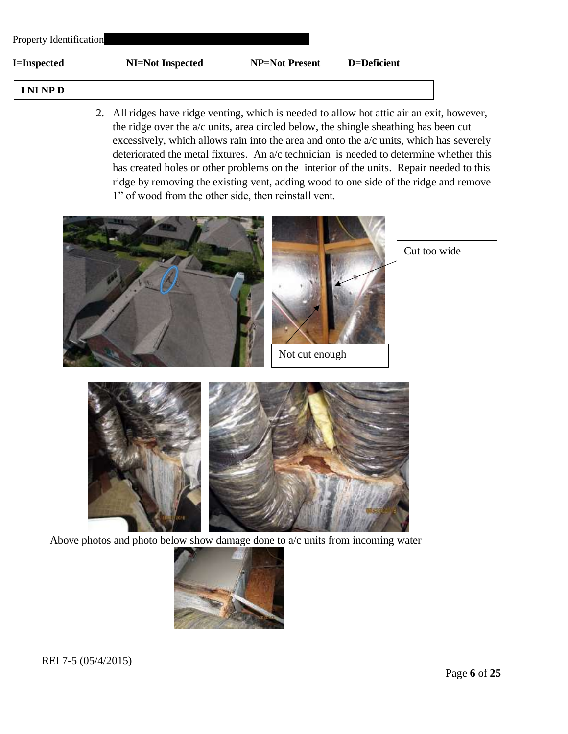```
I=Inspected NI=Not Inspected NP=Not Present D=Deficient
```
2. All ridges have ridge venting, which is needed to allow hot attic air an exit, however, the ridge over the a/c units, area circled below, the shingle sheathing has been cut excessively, which allows rain into the area and onto the a/c units, which has severely deteriorated the metal fixtures. An a/c technician is needed to determine whether this has created holes or other problems on the interior of the units. Repair needed to this ridge by removing the existing vent, adding wood to one side of the ridge and remove 1" of wood from the other side, then reinstall vent.



Cut too wide



Above photos and photo below show damage done to a/c units from incoming water

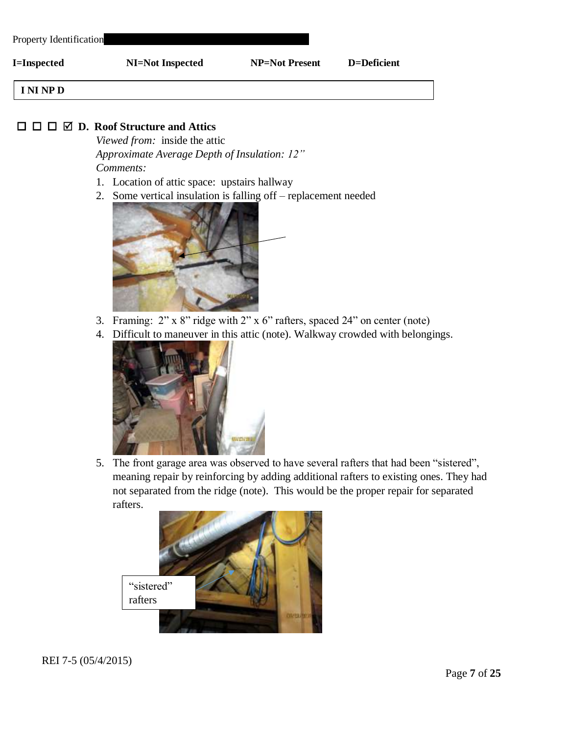| <b>Property Identification</b> |                  |                |             |  |
|--------------------------------|------------------|----------------|-------------|--|
| <b>I=Inspected</b>             | NI=Not Inspected | NP=Not Present | D=Deficient |  |
| I NI NP D                      |                  |                |             |  |

## **D. Roof Structure and Attics**

*Viewed from:* inside the attic *Approximate Average Depth of Insulation: 12" Comments:* 

- 1. Location of attic space: upstairs hallway
- 2. Some vertical insulation is falling off replacement needed



- 3. Framing: 2" x 8" ridge with 2" x 6" rafters, spaced 24" on center (note)
- 4. Difficult to maneuver in this attic (note). Walkway crowded with belongings.



5. The front garage area was observed to have several rafters that had been "sistered", meaning repair by reinforcing by adding additional rafters to existing ones. They had not separated from the ridge (note). This would be the proper repair for separated rafters.

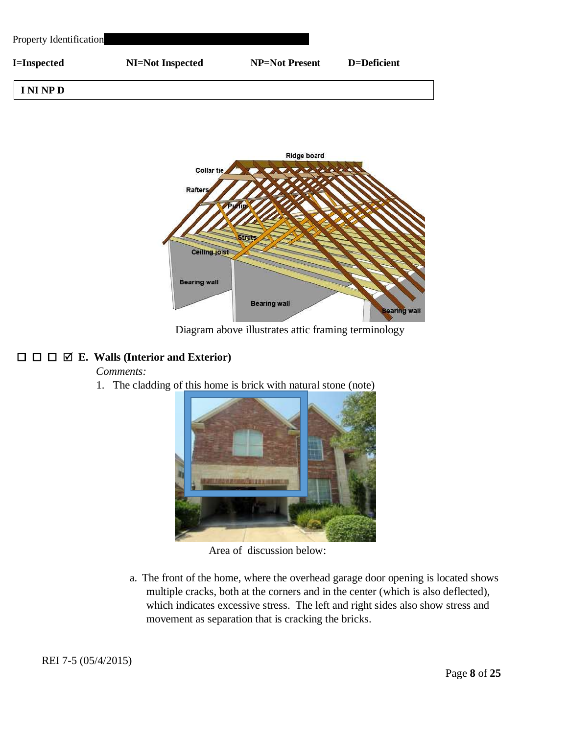



Diagram above illustrates attic framing terminology

## $\Box$   $\Box$   $\Box$   $\Box$   $\Box$  **E.** Walls (Interior and Exterior)

*Comments:*

1. The cladding of this home is brick with natural stone (note)



Area of discussion below:

a. The front of the home, where the overhead garage door opening is located shows multiple cracks, both at the corners and in the center (which is also deflected), which indicates excessive stress. The left and right sides also show stress and movement as separation that is cracking the bricks.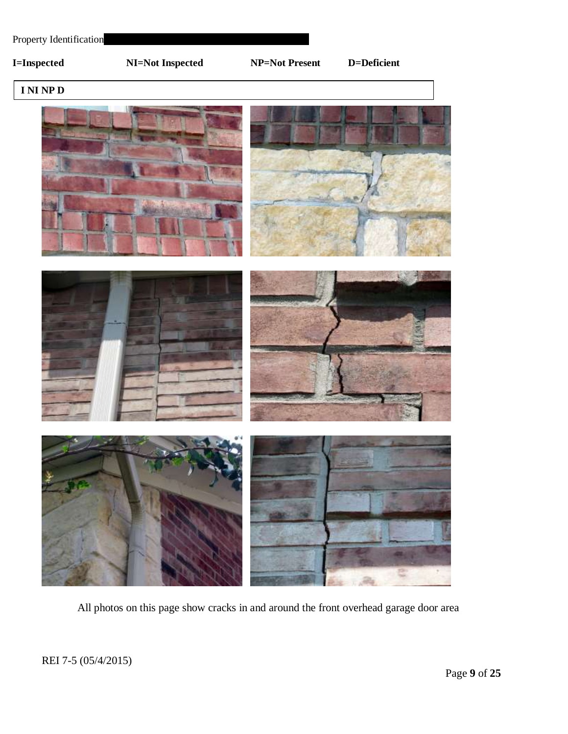## **I=Inspected NI=Not Inspected NP=Not Present D=Deficient**

## **I NI NP D**



All photos on this page show cracks in and around the front overhead garage door area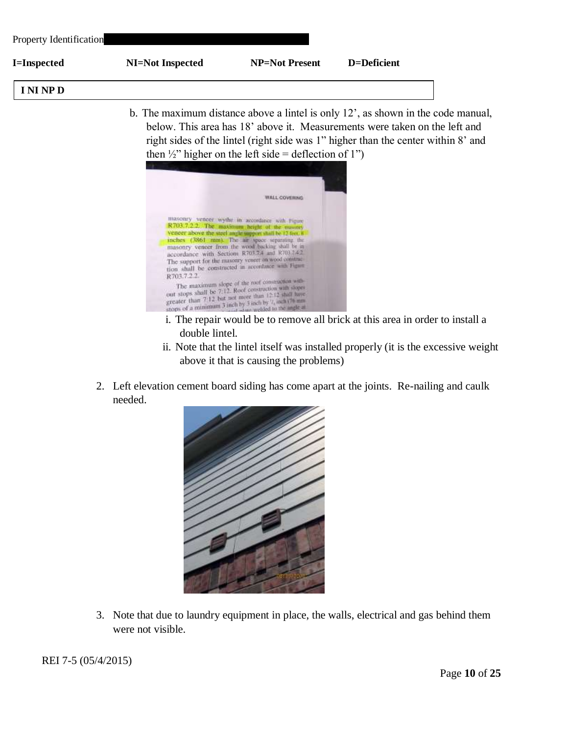| <b>Property Identification</b> |                                                                                  |                                                                                                                                                                                                                                     |             |  |
|--------------------------------|----------------------------------------------------------------------------------|-------------------------------------------------------------------------------------------------------------------------------------------------------------------------------------------------------------------------------------|-------------|--|
| I=Inspected                    | NI=Not Inspected                                                                 | <b>NP=Not Present</b>                                                                                                                                                                                                               | D=Deficient |  |
| I NI NP D                      |                                                                                  |                                                                                                                                                                                                                                     |             |  |
|                                | b. The maximum distance above a lintel is only 12', as shown in the code manual, | below. This area has 18' above it. Measurements were taken on the left and<br>right sides of the lintel (right side was 1" higher than the center within 8' and<br>then $\frac{1}{2}$ " higher on the left side = deflection of 1") |             |  |



- double lintel.
- ii. Note that the lintel itself was installed properly (it is the excessive weight above it that is causing the problems)
- 2. Left elevation cement board siding has come apart at the joints. Re-nailing and caulk needed.



3. Note that due to laundry equipment in place, the walls, electrical and gas behind them were not visible.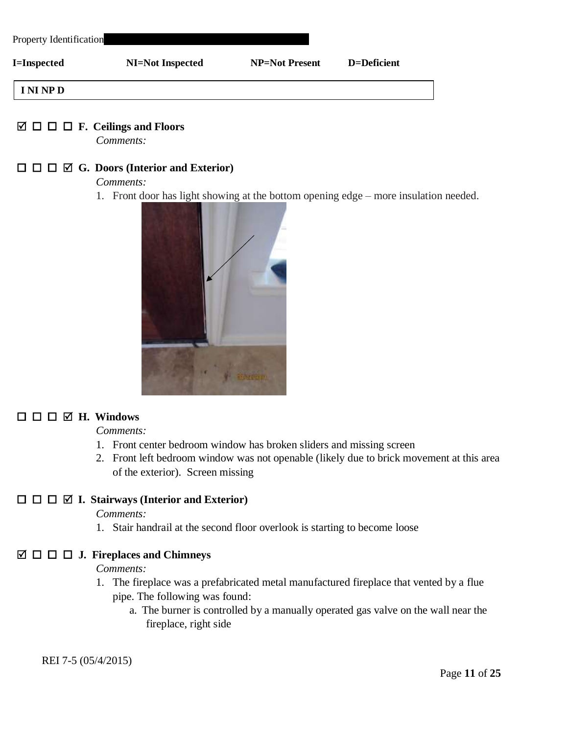| <b>Property Identification</b> |                  |                       |             |  |
|--------------------------------|------------------|-----------------------|-------------|--|
| <b>I</b> =Inspected            | NI=Not Inspected | <b>NP=Not Present</b> | D=Deficient |  |
| $\vert$ ININPD                 |                  |                       |             |  |

#### $\boxtimes$   $\Box$   $\Box$   $\Box$   $\Box$  **F.** Ceilings and Floors

*Comments:*

### **G. Doors (Interior and Exterior)**

*Comments:*

1. Front door has light showing at the bottom opening edge – more insulation needed.



#### $\Box$   $\Box$   $\Box$   $\Box$   $\Box$  **H.** Windows

*Comments:*

- 1. Front center bedroom window has broken sliders and missing screen
- 2. Front left bedroom window was not openable (likely due to brick movement at this area of the exterior). Screen missing

#### **I. Stairways (Interior and Exterior)**

#### *Comments:*

1. Stair handrail at the second floor overlook is starting to become loose

## **J. Fireplaces and Chimneys**

#### *Comments:*

- 1. The fireplace was a prefabricated metal manufactured fireplace that vented by a flue pipe. The following was found:
	- a. The burner is controlled by a manually operated gas valve on the wall near the fireplace, right side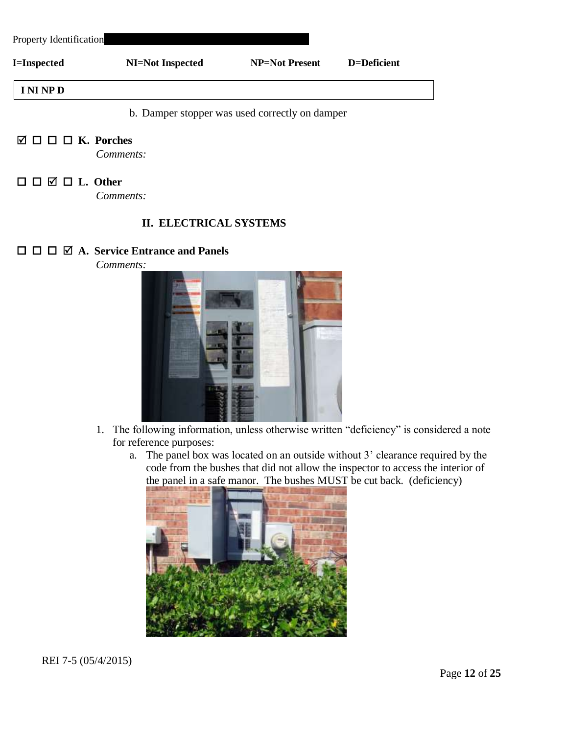| <b>Property Identification</b>                  |                         |                                                |             |
|-------------------------------------------------|-------------------------|------------------------------------------------|-------------|
| <b>I</b> =Inspected                             | <b>NI=Not Inspected</b> | <b>NP=Not Present</b>                          | D=Deficient |
| <b>ININPD</b>                                   |                         |                                                |             |
|                                                 |                         | b. Damper stopper was used correctly on damper |             |
| $\boxtimes \square \square \square K$ . Porches |                         |                                                |             |
|                                                 | Comments:               |                                                |             |

 **L. Other**

*Comments:*

#### **II. ELECTRICAL SYSTEMS**

#### **A. Service Entrance and Panels**

*Comments:*



- 1. The following information, unless otherwise written "deficiency" is considered a note for reference purposes:
	- a. The panel box was located on an outside without 3' clearance required by the code from the bushes that did not allow the inspector to access the interior of the panel in a safe manor. The bushes MUST be cut back. (deficiency)

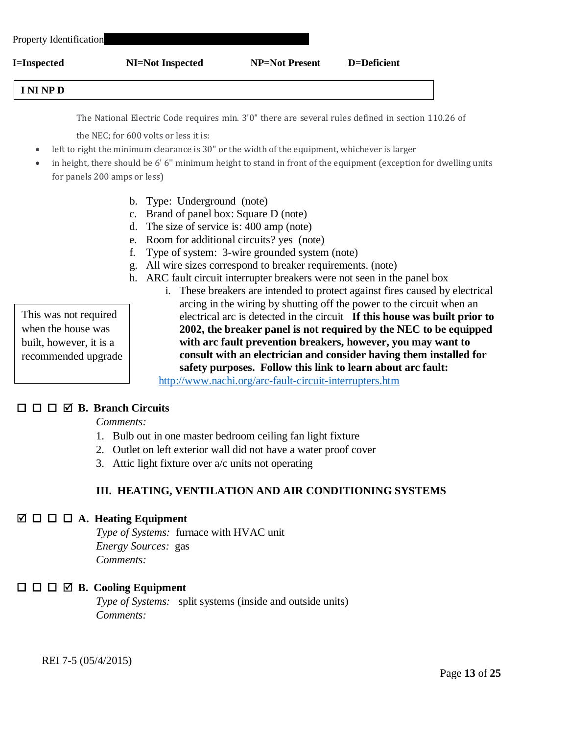| <b>I=Inspected</b>             | <b>NI=Not Inspected</b>                              | <b>NP=Not Present</b>                                                                         | D=Deficient                                                                                                                                           |
|--------------------------------|------------------------------------------------------|-----------------------------------------------------------------------------------------------|-------------------------------------------------------------------------------------------------------------------------------------------------------|
| <b>ININPD</b>                  |                                                      |                                                                                               |                                                                                                                                                       |
|                                |                                                      |                                                                                               | The National Electric Code requires min. 3'0" there are several rules defined in section 110.26 of                                                    |
|                                | the NEC; for 600 volts or less it is:                |                                                                                               |                                                                                                                                                       |
|                                |                                                      | left to right the minimum clearance is 30" or the width of the equipment, whichever is larger |                                                                                                                                                       |
| ٠<br>$\bullet$                 |                                                      |                                                                                               | in height, there should be 6' 6" minimum height to stand in front of the equipment (exception for dwelling units                                      |
| for panels 200 amps or less)   |                                                      |                                                                                               |                                                                                                                                                       |
|                                |                                                      |                                                                                               |                                                                                                                                                       |
|                                | Type: Underground (note)<br>$\mathbf{b}$ .           |                                                                                               |                                                                                                                                                       |
|                                | Brand of panel box: Square D (note)<br>$C_{\bullet}$ |                                                                                               |                                                                                                                                                       |
|                                | d.                                                   | The size of service is: 400 amp (note)                                                        |                                                                                                                                                       |
|                                | e.                                                   | Room for additional circuits? yes (note)                                                      |                                                                                                                                                       |
|                                | f.                                                   | Type of system: 3-wire grounded system (note)                                                 |                                                                                                                                                       |
|                                | g.                                                   | All wire sizes correspond to breaker requirements. (note)                                     |                                                                                                                                                       |
|                                | h.                                                   |                                                                                               | ARC fault circuit interrupter breakers were not seen in the panel box                                                                                 |
|                                |                                                      |                                                                                               | i. These breakers are intended to protect against fires caused by electrical<br>arcing in the wiring by shutting off the power to the circuit when an |
| This was not required          |                                                      |                                                                                               | electrical arc is detected in the circuit If this house was built prior to                                                                            |
| when the house was             |                                                      |                                                                                               | 2002, the breaker panel is not required by the NEC to be equipped                                                                                     |
| built, however, it is a        |                                                      |                                                                                               | with arc fault prevention breakers, however, you may want to                                                                                          |
| recommended upgrade            |                                                      |                                                                                               | consult with an electrician and consider having them installed for                                                                                    |
|                                |                                                      |                                                                                               | safety purposes. Follow this link to learn about arc fault:                                                                                           |
|                                |                                                      | http://www.nachi.org/arc-fault-circuit-interrupters.htm                                       |                                                                                                                                                       |
|                                |                                                      |                                                                                               |                                                                                                                                                       |
| $\boxtimes$ B. Branch Circuits |                                                      |                                                                                               |                                                                                                                                                       |
| Comments:                      |                                                      |                                                                                               |                                                                                                                                                       |

- 1. Bulb out in one master bedroom ceiling fan light fixture
- 2. Outlet on left exterior wall did not have a water proof cover
- 3. Attic light fixture over a/c units not operating

## **III. HEATING, VENTILATION AND AIR CONDITIONING SYSTEMS**

## $\boxtimes$   $\square$   $\square$   $\square$  A. Heating Equipment

*Type of Systems:* furnace with HVAC unit *Energy Sources:* gas *Comments:*

## **B. Cooling Equipment**

*Type of Systems:* split systems (inside and outside units) *Comments:*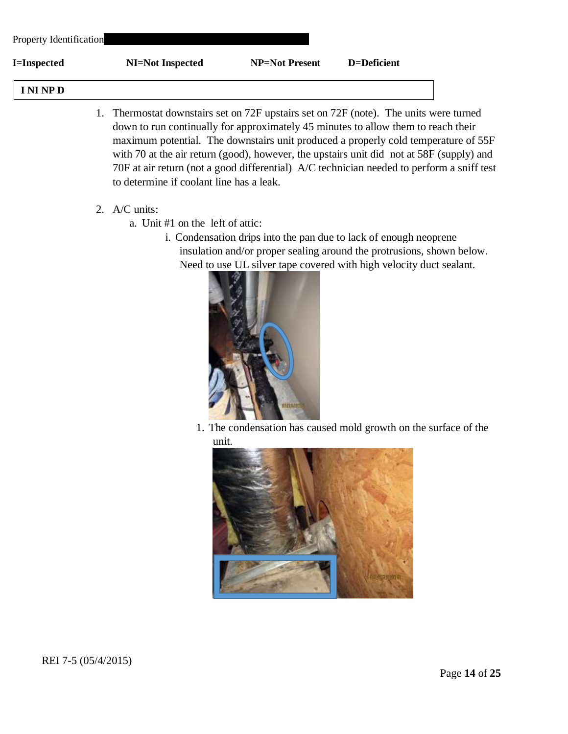| Property Identification |                  |                       |             |  |
|-------------------------|------------------|-----------------------|-------------|--|
| I=Inspected             | NI=Not Inspected | <b>NP=Not Present</b> | D=Deficient |  |
| I NI NP D               |                  |                       |             |  |

- 1. Thermostat downstairs set on 72F upstairs set on 72F (note). The units were turned down to run continually for approximately 45 minutes to allow them to reach their maximum potential. The downstairs unit produced a properly cold temperature of 55F with 70 at the air return (good), however, the upstairs unit did not at 58F (supply) and 70F at air return (not a good differential) A/C technician needed to perform a sniff test to determine if coolant line has a leak.
- 2. A/C units:
	- a. Unit #1 on the left of attic:
		- i. Condensation drips into the pan due to lack of enough neoprene insulation and/or proper sealing around the protrusions, shown below. Need to use UL silver tape covered with high velocity duct sealant.



1. The condensation has caused mold growth on the surface of the unit.

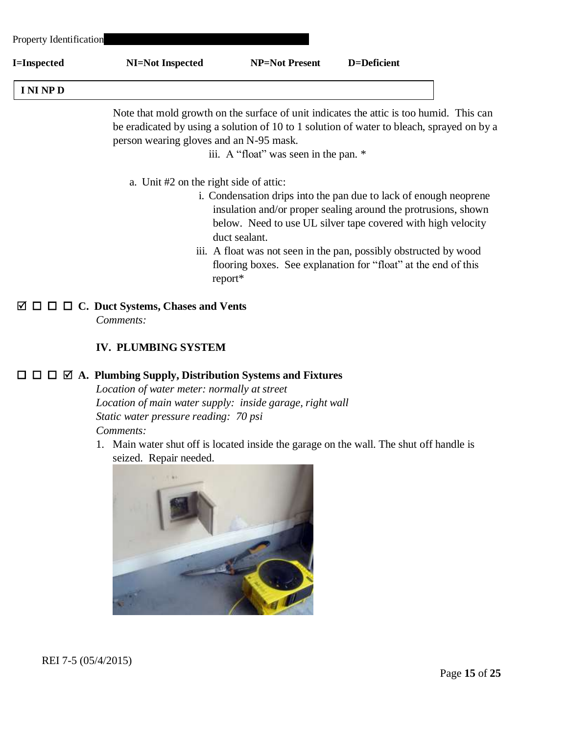| Property Identification |                                         |                                                                                                                                                                                                                                                                                                                                                                          |             |  |
|-------------------------|-----------------------------------------|--------------------------------------------------------------------------------------------------------------------------------------------------------------------------------------------------------------------------------------------------------------------------------------------------------------------------------------------------------------------------|-------------|--|
| <b>I</b> =Inspected     | <b>NI=Not Inspected</b>                 | <b>NP=Not Present</b>                                                                                                                                                                                                                                                                                                                                                    | D=Deficient |  |
| <b>ININPD</b>           |                                         |                                                                                                                                                                                                                                                                                                                                                                          |             |  |
|                         | person wearing gloves and an N-95 mask. | Note that mold growth on the surface of unit indicates the attic is too humid. This can<br>be eradicated by using a solution of 10 to 1 solution of water to bleach, sprayed on by a<br>iii. A "float" was seen in the pan. *                                                                                                                                            |             |  |
|                         | a. Unit #2 on the right side of attic:  | i. Condensation drips into the pan due to lack of enough neoprene<br>insulation and/or proper sealing around the protrusions, shown<br>below. Need to use UL silver tape covered with high velocity<br>duct sealant.<br>iii. A float was not seen in the pan, possibly obstructed by wood<br>flooring boxes. See explanation for "float" at the end of this<br>$report*$ |             |  |

 **C. Duct Systems, Chases and Vents** *Comments:* 

## **IV. PLUMBING SYSTEM**

## **A. Plumbing Supply, Distribution Systems and Fixtures**

*Location of water meter: normally at street Location of main water supply: inside garage, right wall Static water pressure reading: 70 psi Comments:* 

1. Main water shut off is located inside the garage on the wall. The shut off handle is seized. Repair needed.

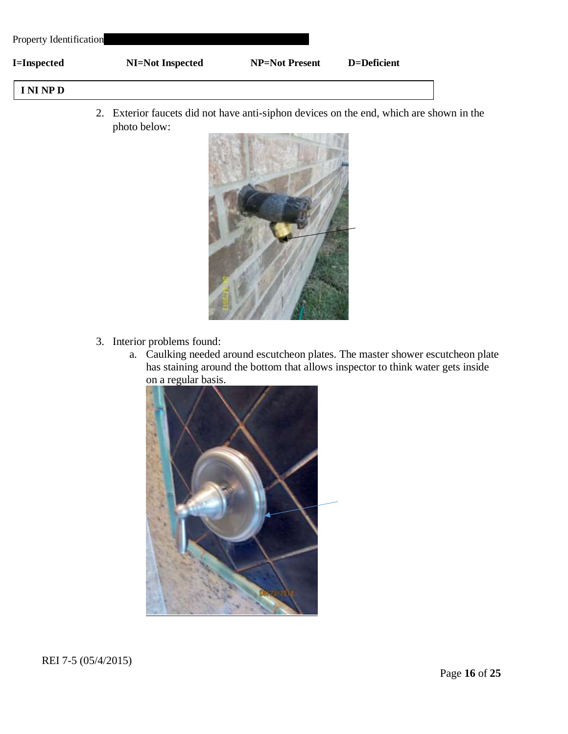| <b>Property Identification</b> |                  |                       |             |
|--------------------------------|------------------|-----------------------|-------------|
| <b>I</b> =Inspected            | NI=Not Inspected | <b>NP=Not Present</b> | D=Deficient |
| I NI NP D                      |                  |                       |             |

2. Exterior faucets did not have anti-siphon devices on the end, which are shown in the photo below:



- 3. Interior problems found:
	- a. Caulking needed around escutcheon plates. The master shower escutcheon plate has staining around the bottom that allows inspector to think water gets inside on a regular basis.

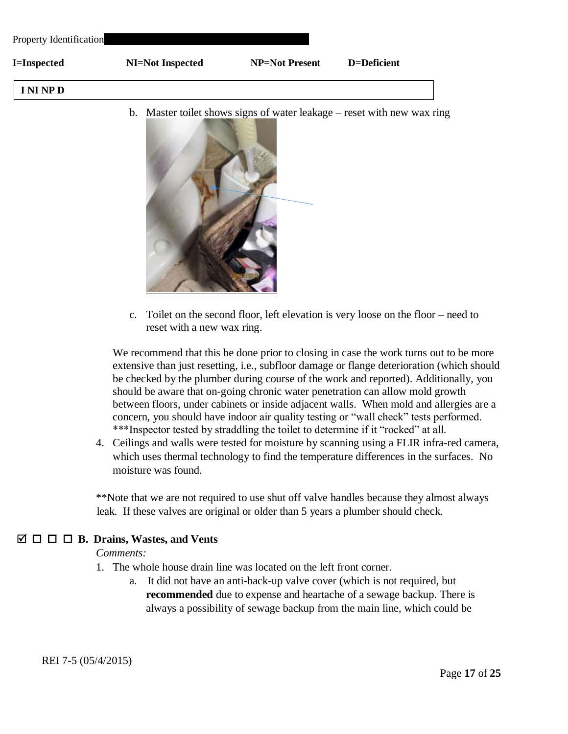| <b>Property Identification</b> |                  |                |             |  |
|--------------------------------|------------------|----------------|-------------|--|
| I=Inspected                    | NI=Not Inspected | NP=Not Present | D=Deficient |  |
| I NI NP D                      |                  |                |             |  |

b. Master toilet shows signs of water leakage – reset with new wax ring



c. Toilet on the second floor, left elevation is very loose on the floor – need to reset with a new wax ring.

We recommend that this be done prior to closing in case the work turns out to be more extensive than just resetting, i.e., subfloor damage or flange deterioration (which should be checked by the plumber during course of the work and reported). Additionally, you should be aware that on-going chronic water penetration can allow mold growth between floors, under cabinets or inside adjacent walls. When mold and allergies are a concern, you should have indoor air quality testing or "wall check" tests performed. \*\*\*Inspector tested by straddling the toilet to determine if it "rocked" at all.

4. Ceilings and walls were tested for moisture by scanning using a FLIR infra-red camera, which uses thermal technology to find the temperature differences in the surfaces. No moisture was found.

\*\*Note that we are not required to use shut off valve handles because they almost always leak. If these valves are original or older than 5 years a plumber should check.

#### $\boxtimes$   $\Box$   $\Box$   $\Box$  **B.** Drains, Wastes, and Vents

#### *Comments:*

- 1. The whole house drain line was located on the left front corner.
	- a. It did not have an anti-back-up valve cover (which is not required, but **recommended** due to expense and heartache of a sewage backup. There is always a possibility of sewage backup from the main line, which could be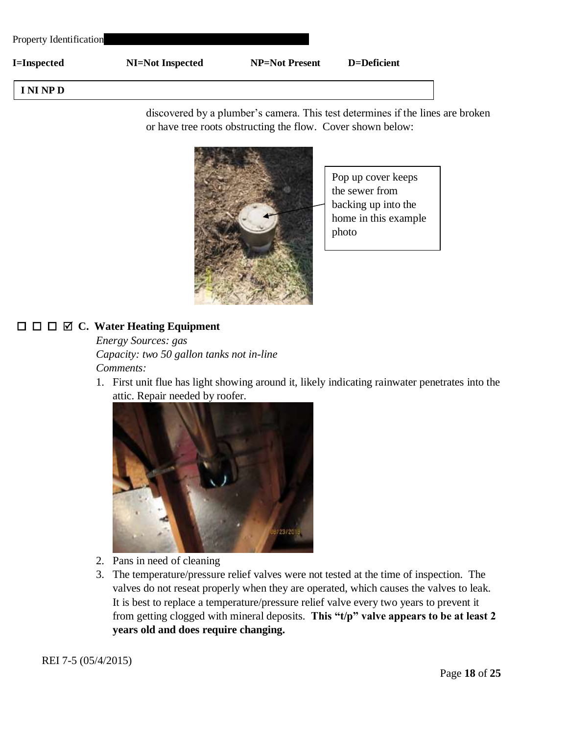| <b>Property Identification</b> |                  |                |             |  |
|--------------------------------|------------------|----------------|-------------|--|
| I=Inspected                    | NI=Not Inspected | NP=Not Present | D=Deficient |  |
| I NI NP D                      |                  |                |             |  |

discovered by a plumber's camera. This test determines if the lines are broken or have tree roots obstructing the flow. Cover shown below:



Pop up cover keeps the sewer from backing up into the home in this example photo

## **C. Water Heating Equipment**

*Energy Sources: gas Capacity: two 50 gallon tanks not in-line Comments:*

1. First unit flue has light showing around it, likely indicating rainwater penetrates into the attic. Repair needed by roofer.



- 2. Pans in need of cleaning
- 3. The temperature/pressure relief valves were not tested at the time of inspection. The valves do not reseat properly when they are operated, which causes the valves to leak. It is best to replace a temperature/pressure relief valve every two years to prevent it from getting clogged with mineral deposits. **This "t/p" valve appears to be at least 2 years old and does require changing.**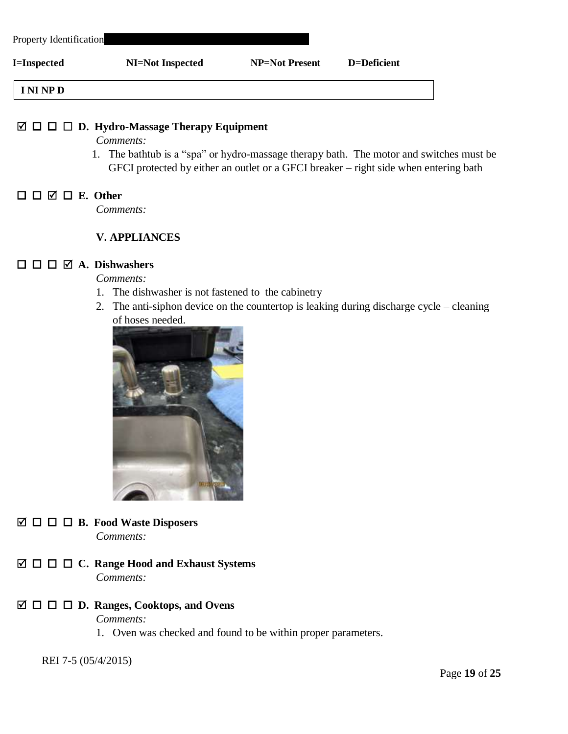| <b>Property Identification</b> |                  |                       |             |  |
|--------------------------------|------------------|-----------------------|-------------|--|
| <b>I=Inspected</b>             | NI=Not Inspected | <b>NP=Not Present</b> | D=Deficient |  |
| I NI NP D                      |                  |                       |             |  |

#### **D. Hydro-Massage Therapy Equipment**

*Comments:*

1. The bathtub is a "spa" or hydro-massage therapy bath. The motor and switches must be GFCI protected by either an outlet or a GFCI breaker – right side when entering bath

## $\Box$   $\Box$   $\Box$   $\Box$   $\Box$   $\Box$   $\Box$  Other

*Comments:*

#### **V. APPLIANCES**

#### $\Box$   $\Box$   $\Box$   $\Box$   $\Box$  A. Dishwashers

*Comments:*

- 1. The dishwasher is not fastened to the cabinetry
- 2. The anti-siphon device on the countertop is leaking during discharge cycle cleaning of hoses needed.



- $\boxtimes$   $\Box$   $\Box$   $\Box$  **B.** Food Waste Disposers *Comments:*
- **C. Range Hood and Exhaust Systems** *Comments:*
- **D. Ranges, Cooktops, and Ovens** *Comments:*
	- 1. Oven was checked and found to be within proper parameters.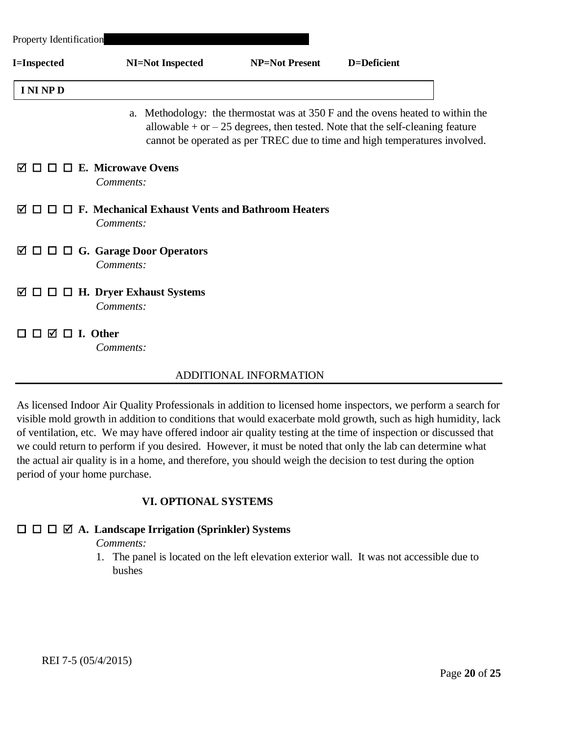| Property Identification     |                                                                                    |                       |                                                                                                                                                                                                                                                     |
|-----------------------------|------------------------------------------------------------------------------------|-----------------------|-----------------------------------------------------------------------------------------------------------------------------------------------------------------------------------------------------------------------------------------------------|
| <b>I=Inspected</b>          | <b>NI=Not Inspected</b>                                                            | <b>NP=Not Present</b> | D=Deficient                                                                                                                                                                                                                                         |
| <b>ININPD</b>               |                                                                                    |                       |                                                                                                                                                                                                                                                     |
|                             |                                                                                    |                       | a. Methodology: the thermostat was at $350$ F and the ovens heated to within the<br>allowable $+$ or $-$ 25 degrees, then tested. Note that the self-cleaning feature<br>cannot be operated as per TREC due to time and high temperatures involved. |
|                             | $\Box$ $\Box$ $\Box$ E. Microwave Ovens<br>Comments:                               |                       |                                                                                                                                                                                                                                                     |
|                             | $\Box$ $\Box$ $\Box$ F. Mechanical Exhaust Vents and Bathroom Heaters<br>Comments: |                       |                                                                                                                                                                                                                                                     |
|                             | $\boxtimes \square \square \square$ G. Garage Door Operators<br>Comments:          |                       |                                                                                                                                                                                                                                                     |
|                             | $\boxtimes \square \square \square$ H. Dryer Exhaust Systems<br>Comments:          |                       |                                                                                                                                                                                                                                                     |
| $\boxtimes$ $\Box$ I. Other | Comments:                                                                          |                       |                                                                                                                                                                                                                                                     |

#### ADDITIONAL INFORMATION

As licensed Indoor Air Quality Professionals in addition to licensed home inspectors, we perform a search for visible mold growth in addition to conditions that would exacerbate mold growth, such as high humidity, lack of ventilation, etc. We may have offered indoor air quality testing at the time of inspection or discussed that we could return to perform if you desired. However, it must be noted that only the lab can determine what the actual air quality is in a home, and therefore, you should weigh the decision to test during the option period of your home purchase.

## **VI. OPTIONAL SYSTEMS**

## **A. Landscape Irrigation (Sprinkler) Systems**

*Comments:*

1. The panel is located on the left elevation exterior wall. It was not accessible due to bushes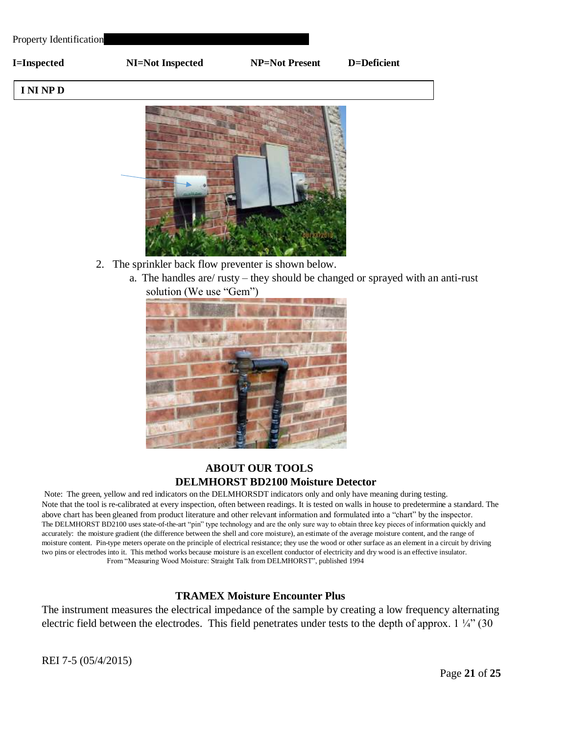| <b>Property Identification</b> |                  |                |             |
|--------------------------------|------------------|----------------|-------------|
| <b>I=Inspected</b>             | NI=Not Inspected | NP=Not Present | D=Deficient |



- 2. The sprinkler back flow preventer is shown below.
	- a. The handles are/ rusty they should be changed or sprayed with an anti-rust solution (We use "Gem")



## **ABOUT OUR TOOLS DELMHORST BD2100 Moisture Detector**

Note: The green, yellow and red indicators on the DELMHORSDT indicators only and only have meaning during testing. Note that the tool is re-calibrated at every inspection, often between readings. It is tested on walls in house to predetermine a standard. The above chart has been gleaned from product literature and other relevant information and formulated into a "chart" by the inspector. The DELMHORST BD2100 uses state-of-the-art "pin" type technology and are the only sure way to obtain three key pieces of information quickly and accurately: the moisture gradient (the difference between the shell and core moisture), an estimate of the average moisture content, and the range of moisture content. Pin-type meters operate on the principle of electrical resistance; they use the wood or other surface as an element in a circuit by driving two pins or electrodes into it. This method works because moisture is an excellent conductor of electricity and dry wood is an effective insulator. From "Measuring Wood Moisture: Straight Talk from DELMHORST", published 1994

## **TRAMEX Moisture Encounter Plus**

The instrument measures the electrical impedance of the sample by creating a low frequency alternating electric field between the electrodes. This field penetrates under tests to the depth of approx.  $1\frac{1}{4}$ " (30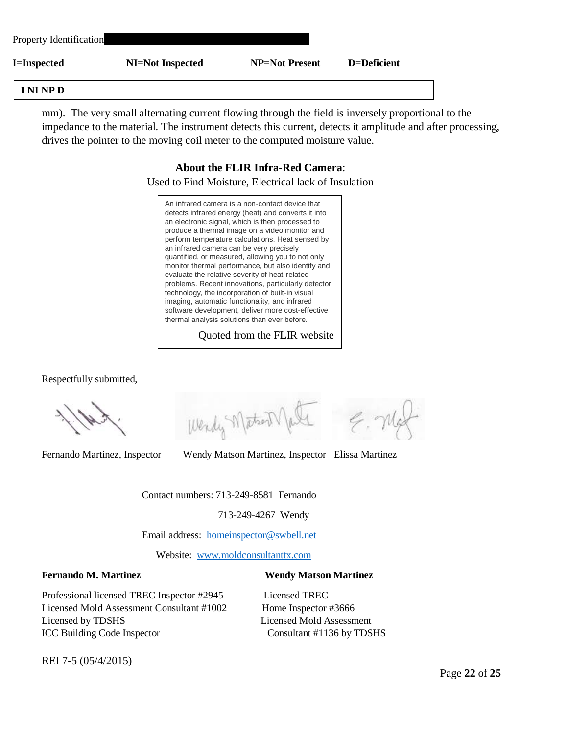| Property Identification |                  |                |             |  |
|-------------------------|------------------|----------------|-------------|--|
| I=Inspected             | NI=Not Inspected | NP=Not Present | D=Deficient |  |
| ININPD                  |                  |                |             |  |

mm). The very small alternating current flowing through the field is inversely proportional to the impedance to the material. The instrument detects this current, detects it amplitude and after processing, drives the pointer to the moving coil meter to the computed moisture value.

## **About the FLIR Infra-Red Camera**:

Used to Find Moisture, Electrical lack of Insulation

An infrared camera is a non-contact device that detects infrared energy (heat) and converts it into an electronic signal, which is then processed to produce a thermal image on a video monitor and perform temperature calculations. Heat sensed by an infrared camera can be very precisely quantified, or measured, allowing you to not only monitor thermal performance, but also identify and evaluate the relative severity of heat-related problems. Recent innovations, particularly detector technology, the incorporation of built-in visual imaging, automatic functionality, and infrared software development, deliver more cost-effective thermal analysis solutions than ever before.

Quoted from the FLIR website

Respectfully submitted,

Wendy Matson

Fernando Martinez, Inspector Wendy Matson Martinez, Inspector Elissa Martinez

Contact numbers: 713-249-8581 Fernando

713-249-4267 Wendy

Email address: [homeinspector@swbell.net](mailto:homeinspector@swbell.net)

Website: [www.moldconsultanttx.com](http://www.moldconsultanttx.com/)

#### **Fernando M. Martinez Wendy Matson Martinez**

Professional licensed TREC Inspector #2945 Licensed TREC Licensed Mold Assessment Consultant #1002 Home Inspector #3666 Licensed by TDSHS Licensed Mold Assessment ICC Building Code Inspector Consultant #1136 by TDSHS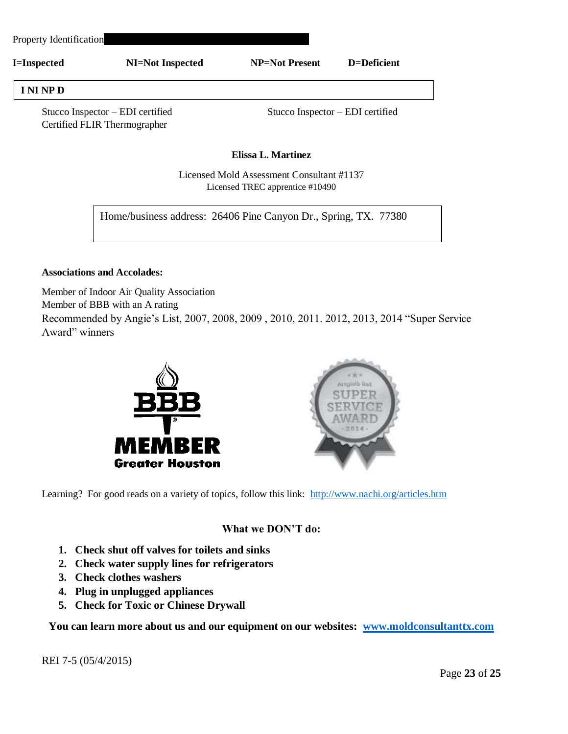| <b>Property Identification</b> |  |  |
|--------------------------------|--|--|
|                                |  |  |



Certified FLIR Thermographer

Stucco Inspector – EDI certified Stucco Inspector – EDI certified

**Elissa L. Martinez**

Licensed Mold Assessment Consultant #1137 Licensed TREC apprentice #10490

Home/business address: 26406 Pine Canyon Dr., Spring, TX. 77380

#### **Associations and Accolades:**

Member of Indoor Air Quality Association Member of BBB with an A rating Recommended by Angie's List, 2007, 2008, 2009 , 2010, 2011. 2012, 2013, 2014 "Super Service Award" winners





Learning? For good reads on a variety of topics, follow this link: <http://www.nachi.org/articles.htm>

#### **What we DON'T do:**

- **1. Check shut off valves for toilets and sinks**
- **2. Check water supply lines for refrigerators**
- **3. Check clothes washers**
- **4. Plug in unplugged appliances**
- **5. Check for Toxic or Chinese Drywall**

**You can learn more about us and our equipment on our websites: [www.moldconsultanttx.com](http://www.moldconsultanttx.com/)**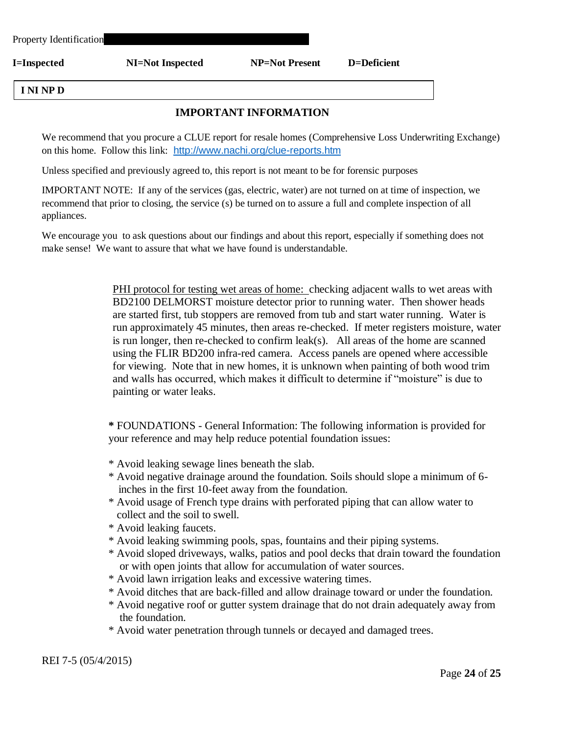| <b>Property Identification</b> |                  |                       |             |  |
|--------------------------------|------------------|-----------------------|-------------|--|
| <b>I=Inspected</b>             | NI=Not Inspected | <b>NP=Not Present</b> | D=Deficient |  |
| <b>*******</b>                 |                  |                       |             |  |

#### **IMPORTANT INFORMATION**

We recommend that you procure a CLUE report for resale homes (Comprehensive Loss Underwriting Exchange) on this home. Follow this link: <http://www.nachi.org/clue-reports.htm>

Unless specified and previously agreed to, this report is not meant to be for forensic purposes

IMPORTANT NOTE: If any of the services (gas, electric, water) are not turned on at time of inspection, we recommend that prior to closing, the service (s) be turned on to assure a full and complete inspection of all appliances.

We encourage you to ask questions about our findings and about this report, especially if something does not make sense! We want to assure that what we have found is understandable.

> PHI protocol for testing wet areas of home: checking adjacent walls to wet areas with BD2100 DELMORST moisture detector prior to running water. Then shower heads are started first, tub stoppers are removed from tub and start water running. Water is run approximately 45 minutes, then areas re-checked. If meter registers moisture, water is run longer, then re-checked to confirm leak(s). All areas of the home are scanned using the FLIR BD200 infra-red camera. Access panels are opened where accessible for viewing. Note that in new homes, it is unknown when painting of both wood trim and walls has occurred, which makes it difficult to determine if "moisture" is due to painting or water leaks.

**\*** FOUNDATIONS - General Information: The following information is provided for your reference and may help reduce potential foundation issues:

- \* Avoid leaking sewage lines beneath the slab.
- \* Avoid negative drainage around the foundation. Soils should slope a minimum of 6 inches in the first 10-feet away from the foundation.
- \* Avoid usage of French type drains with perforated piping that can allow water to collect and the soil to swell.
- \* Avoid leaking faucets.
- \* Avoid leaking swimming pools, spas, fountains and their piping systems.
- \* Avoid sloped driveways, walks, patios and pool decks that drain toward the foundation or with open joints that allow for accumulation of water sources.
- \* Avoid lawn irrigation leaks and excessive watering times.
- \* Avoid ditches that are back-filled and allow drainage toward or under the foundation.
- \* Avoid negative roof or gutter system drainage that do not drain adequately away from the foundation.
- \* Avoid water penetration through tunnels or decayed and damaged trees.